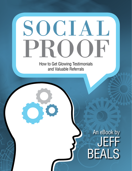# OCIAL PROOF

How to Get Glowing Testimonials and Valuable Referrals

# An eBook by JEFF BEALS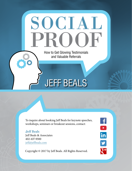

To inquire about booking Jeff Beals for keynote speeches, workshops, seminars or breakout sessions, contact:

**Jeff Beals** Jeff Beals & Associates 402-637-9300 jeff[@jeffbeals.com](mailto:joni@jeffbeals.com)

Copyright © 2017 by Jeff Beals. All Rights Reserved.

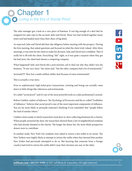## *Living in the Era of Social Proof* Chapter 1

The sales manager got a lead on a nice piece of business. It was big enough of a deal that he assigned two sales reps to the account: Julie and David. Those two had worked together many times and had landed more than their share of big deals.

As expected, Julie and David did their due diligence before meeting with the prospect. During the first meeting, they asked questions and focused on what the client truly valued. After three meetings, it was time for the client to make his decision. Julie and David were confident. They'd really hit it off with the client. Everything "felt" right, so it was quite a surprise when they got the bad news: the client had chosen a competing company.

What happened? Julie and David did a post-mortem call to find out why they didn't win the business. "It was very close," the client said, "but the other company had a lot of testimonials."

Seriously?!!? They lost a multi-million-dollar deal because of some testimonials?

This is actually a true story.

Even in sophisticated, high-ticket-price transactions, winning and losing can actually come down to little things like references and testimonials.

It's called "social proof" and it's one of the most powerful tools in a sales professional's arsenal.

Robert Cialdini, author of *Influence: The Psychology of Persuasion* and the so-called "Godfather of Influence," believes that social proof is one of the most important components of influence. You are far more likely to persuade someone's thinking if you remember that "people follow the lead of similar others."

Cialdini cited a study in which researchers went door-to-door collecting donations for a charity. When people answered the door, the researchers showed them a list of neighborhood residents who had already donated to the charity. The longer the donor list, the more likely prospective donors were to contribute.

In another study, New York City residents were asked to return a lost wallet to its owner. The New Yorkers were highly likely to attempt to return the wallet when they learned that another New Yorker had previously attempted to do so. But learning that someone from a foreign country had tried to return the wallet didn't sway their decision one way or the other.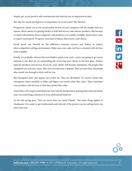Simply put, social proof is why testimonials and referrals are so important in sales.

But why has social proof grown in importance in recent years? The Internet.

Prospective clients can access social media reviews of your company with the simple click of a mouse, which means it's getting harder to hide bad service and inferior products. But because so much information about companies and products is so readily available, buyers have come to expect social proof. Prospects want hard evidence that you're a safe choice.

Social proof can literally be the difference between success and failure in today's ultra-competitive selling environment. Make sure your sales tool box is stocked with the best tools available.

Finally, it's probably obvious but nevertheless needs to be said—you're not going to get many referrals if you don't do an outstanding job of serving your clients in the first place. Deliver superior products and service. If you do, your clients will become champions, the people who champion you and your cause. They love you and your company. They are your fans, the people who would run through a brick wall for you.

But champions don't just appear out of thin air. They are developed. To convert clients into champions, listen carefully to them and figure out exactly what they value. Then customize your products and services so that they satisfy that value.

Treat them with respect and build trust over time by being honest, putting their interests before your own and being consistent in your professional behavior.

As the old saying goes, "You can never have too many friends." The same thing applies to champions. It is easier to get testimonials and referrals if the person you are asking loves you and trusts you.

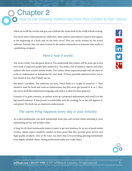Chapter 2

*How to Get Glowing Testimonials from Your Current & Past Clients*

Allow me to lift the curtain and give you a behind-the-scenes look at the world of book writing.

You know those endorsements by celebrities, other authors and industry experts that appear at the beginning of a book and on the back cover? They are rarely written by the actual endorser. Instead, they are often written by the authors themselves or someone who works at a publishing company.

#### *Here's how it works:*

You write a book. You feel good about it. You understand that readers will be more apt to buy your book if respected people have endorsed it. You make a list of industry experts and other authors who have written similar books. You contact those respected people and ask them to write an endorsement or testimonial for your book. If those potential endorsers know you or have heard of you, they'll likely say yes.

But there's a problem. The endorsers are busy, which leads to a couple of scenarios: 1. They intend to read the book and write an endorsement, but they never get around to it; or 2. They ask you to draft the endorsement language and send it to them for their approval.

Scenario #2 is quite common, so authors write up a proposed endorsement and email it to the big-named endorser. If that person is comfortable with the wording, he or she will approve it, and presto! The book has an impressive endorsement.

#### *The same thing happens every day in your industry.*

As a sales professional, you need testimonials from past and current clients attesting to your outstanding service and product value.

A long list of client testimonials makes it easier to get new business. In an era of social media reviews, clients expect would-be vendors to have proof that they provide great service and high-quality products. One of the ways you show that is by providing glowing testimonials from highly satisfied clients. Strong testimonials make you a safe choice.

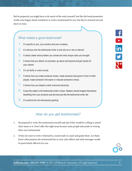But be prepared; you might have to do much of the work yourself. Just like the book promotion world, your happy clients would love to write a testimonial for you, but they're stressed out and short on time.

#### What makes a good testimonial?

- It's specific to you, your product and your company.
- $2.$  It's obvious who the testimonial writer is and why he or she is relevant.
- 3. It clearly states what problem you solved and what unique value you brought.
- $\overline{4}$ . It shows that you deliver on promises, go above and beyond and get results for your clients!
- 5. It's not fluffy or overly wordy.
- 6. It shows how you made someone money, made someone look good in front of other people, made someone's life easier or reduced someone's stress.
- 7. It shows how you helped a client overcome adversity.
- 8. It puts the reader in the testimonial writer's shoes. Readers should imagine themselves benefiting from your products and services just like the testimonial writer did.
- **9.** It's positive but not obnoxiously gushing.

#### *How do you get testimonials?*

- 1. Be prepared to write the testimonial yourself and ask if they would be willing to attach their name to it. Don't offer this right away because some people take pride in writing their own testimonials.
- 2. If they do want to write it themselves, stand ready to coach and guide them. Let them know what purpose the testimonial has in your sales efforts and what messages would be particularly effective for you.



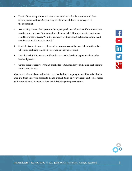- 3. Think of interesting stories you have experienced with the client and remind them of how you served them. Suggest they highlight one of those stories as part of the testimonial.
- 4. Ask existing clients a few questions about your products and services. If the answers are positive, you could say, "You know, it would be so helpful if my prospective customers could hear what you said. Would you consider writing a short testimonial for me that I could use in my future sales efforts?"
- 5. Send clients a written survey. Some of the responses could be material for testimonials. Of course, get their permission before you publicly quote them.
- 6. Don't be bashful! If you are confident that you made the client happy, ask them to be bold and positive.
- 7. Give in order to receive. Write an unsolicited testimonial for your client and ask them to do the same for you.

Make sure testimonials are well-written and clearly show how you provide differentiated value. Then put them into your prospects' hands. Publish them on your website and social media platforms and hand them out as leave-behinds during sales presentations.

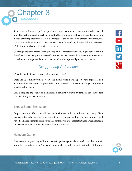# Chapter 3 *References*

Some sales professionals prefer to provide reference names and contact information instead of written testimonials. Some clients would rather you simply list their name and contact info instead of writing a testimonial. This is analogous to the job references printed on your resume. If prospective clients want to know what past clients think of you, they can call the references. While testimonials are better, references are fine.

Go through the same process when gathering a list of client references. You might want to remind the reference what to say or emphasize if a prospective client ever calls. Make sure your references know how and why you will use their names and to whom you will provide their names.

## *Disappearing References*

What do you do if you lose touch with your references?

That's a fairly common problem. We live in a mobile world in which people have unprecedented options and opportunities. Despite all the communication channels at our fingertips, it is still possible to lose touch.

Considering the importance of maintaining a healthy list of well-credentialed references, here are a few things to keep in mind:

#### Expect Some Shrinkage

Despite your best efforts, you will lose touch with some references. Businesses change. Lives change. Ultimately, nothing is permanent. Just as an outstanding company knows it will periodically lose clients to forces beyond its control, you must accept that nobody can maintain 100 percent of their relationships over the course of a career.

#### Numbers Game

Businesses anticipate they will lose a certain percentage of clients each year despite their best efforts to retain them. The same thing applies to references. Constantly build strong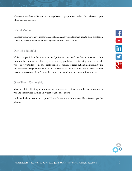relationships with new clients so you always have a large group of credentialed references upon whom you can depend.

#### Social Media

Connect with everyone you know on social media. As your references update their profiles on LinkedIn, they are essentially updating your "address book" for you.

#### Don't Be Bashful

While it is possible to become a sort of "professional recluse," one has to work at it. In a Google-driven world, you ultimately stand a pretty good chance of tracking down the people you seek. Nevertheless, some sales professionals are hesitant to reach out and make contact with a reference who has gone "dormant." Don't be bashful. Just because some time may have elapsed since your last contact doesn't mean the connection doesn't want to communicate with you.

#### Give Them Ownership

Make people feel like they are a key part of your success. Let them know they are important to you and that you see them as a key part of your sales efforts.

In the end, clients want social proof. Powerful testimonials and credible references get the job done.

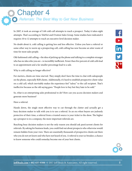In 2007, it took an average of 3.68 cold-call attempts to reach a prospect. Today it takes eight attempts. That's according to TeleNet and Ovation Sales Group. Some studies have indicated it requires 10 to 12 attempts to reach an executive-level decision maker.

No doubt about it, cold calling is getting less and less effective. Unless you have a referral or some other way to warm up a prospecting call, cold calling has now become an utter waste of time for most sales people.

Old-fashioned cold calling—the idea of picking up the phone and talking to a complete stranger who has no idea who you are—is incredibly inefficient. Fewer than five percent of cold calls lead to an appointment and a far smaller percentage lead to a sale.

Why is cold calling no longer effective?

For starters, clients are time-starved. They simply don't have the time to chat with salespeople on the phone, especially B2B clients. Additionally, it's hard to establish prospective client value on a cold call, which inevitably makes the experience feel "salesy" to the call recipient. That's ineffective because as the old saying goes: "People love to buy but they hate to be sold."

So, what is an enterprising sales professional to do? How can you access decision makers and generate more business?

Have a referral.

Hands down, the single most effective way to cut through the clutter and actually get a busy decision maker to talk with you is to use a referral. In an era when buyers are jealously protective of their time, a referral from a trusted source is your ticket to the show. The higher up a prospect is in a company, the more important referrals are.

Reaching busy decision makers is not the only reason you should ask past/current clients for referrals. By asking for business leads, you could find out about prospects who otherwise would remain hidden from your view. There are essentially thousands of prospective clients out there who you do not yet know and who have not heard of you. A referral is your ice breaker, a chance to know someone who could someday become one of your best clients.

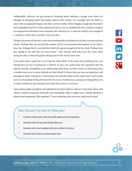Additionally, referrals can get prospects thinking about making a change even when the thought of changing hadn't previously entered their minds. For example, let's say there's a client who is marginally happy with their current vendor. They're happy enough that they don't feel compelled to look for other options but they're not so satisfied that they wouldn't consider an unexpected solicitation from someone who referred you. A referral could be just enough of a catalyst to make them consider a new provider.

Despite the power of referrals, some sales professionals are hesitant to ask their current and past clients. Perhaps they are worried the request will be an unwanted interruption in the client's busy day. Perhaps they're worried they didn't do a good enough job for the client. Perhaps they fear "going to the well one too many times"—they already took time from the client when doing the deal, so they feel guilty taking more of the client's time now.

If you have done a good job of serving the client while at the same time building trust, you should have no fear of asking for a referral. In fact, you could make the argument that the referral actually strengthens your relationship with them. In other words, it's flattering when a vendor wants you to make referrals on their behalf. It shows that you were an important and prestigious client. Asking for a referral puts you and the client on the "same team" and creates more of a friendship feeling between the two of you. Furthermore, saying nice things about you to others reinforces and reminds your client why you're so awesome.

Some clients might actually be a bit offended if you *don't* ask for a referral. I once had a client with whom I worked a long time and built a nice friendship. After a couple years, I finally asked for a referral and testimonial. Her response? "I was wondering why you never asked me for that!"

#### Who Should You Ask for Referrals?

- A person whose name, title and profile make you look impressive
- Someone who will say great things about you
- Someone who is very pleased with your product or service
- Someone with whom you have mutual trust

f

**D**<br>in<br>y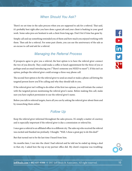## *When Should You Ask?*

There's no set time in the sales process when you are supposed to ask for a referral. That said, it's probably best right after you have done a great job and your client is basking in your good work. Some sales pros are hesitant to ask a client from long ago. Don't fret if time has gone by.

Simply call and say something reminded you of them and how much you enjoyed working with them. Then ask for a referral. For some past clients, you can use the anniversary of the sale as an excuse to call and ask for a referral.

#### *Managing the Referral Process*

If prospects agree to give you a referral, the best option is to have the referral giver connect the two of you directly. They could make a coffee or lunch appointment for the three of you or perhaps send an email introducing you ("There's someone you NEED to meet!"). If this isn't an option, perhaps the referral giver could arrange a three-way phone call.

The second-best option is for the referral giver to send an email or make a phone call letting the targeted person know you'll be calling and why they should talk to you.

If the referral giver isn't willing to do either of the first two options, you will initiate the contact with the targeted person mentioning the referral giver's name. Before making this call, make sure you have explicit permission to use the referral giver's name.

Before you talk to referred targets, learn all you can by asking the referral giver about them and by researching them online.

## *Follow Up*

Keep the referral giver informed throughout the sales process. It's simply a matter of courtesy and is especially important if the referral giver is due a commission or referral fee.

I once gave a referral to an affiliated office in a different city. The sales rep who received the referral was excited and thanked me profusely. I thought, "Well, I chose a great guy to do this deal!"

But that turned out to be the last time I heard from him.

Six months later, I ran into the client I had referred and he told me he ended up doing a deal in that city. I asked how the rep at my partner office did. My client's response was troubling: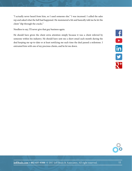"I actually never heard from him, so I used someone else." I was incensed. I called the sales rep and asked what the hell had happened. He stammered a bit and basically told me he let the client "slip through the cracks."

Needless to say, I'll never give that guy business again.

He should have given the client extra attention simply because it was a client referred by someone within his industry. He should have sent me a short email each month during the deal keeping me up-to-date or at least notifying me each time the deal passed a milestone. I entrusted him with one of my precious clients, and he let me down.

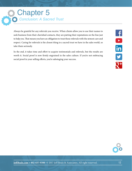## *Conclusion: A Sacred Trust* Chapter 5

Always be grateful for any referrals you receive. When clients allow you to use their names to seek business from their cherished contacts, they are putting their reputations on the line just to help you. That means you have an obligation to treat those referrals with the utmost care and respect. Caring for referrals is the closest thing to a sacred trust we have in the sales world, so take them seriously.

In the end, it takes time and effort to acquire testimonials and referrals, but the results are worth it. Social proof is now firmly engrained in the sales culture. If you're not embracing social proof in your selling efforts, you're sabotaging your success.